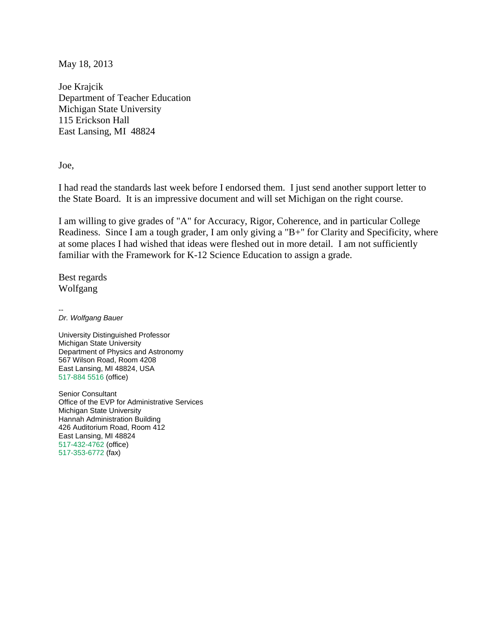May 18, 2013

Joe Krajcik Department of Teacher Education Michigan State University 115 Erickson Hall East Lansing, MI 48824

Joe,

I had read the standards last week before I endorsed them. I just send another support letter to the State Board. It is an impressive document and will set Michigan on the right course.

I am willing to give grades of "A" for Accuracy, Rigor, Coherence, and in particular College Readiness. Since I am a tough grader, I am only giving a "B+" for Clarity and Specificity, where at some places I had wished that ideas were fleshed out in more detail. I am not sufficiently familiar with the Framework for K-12 Science Education to assign a grade.

Best regards Wolfgang

--

*Dr. Wolfgang Bauer*

University Distinguished Professor Michigan State University Department of Physics and Astronomy 567 Wilson Road, Room 4208 East Lansing, MI 48824, USA 517-884 5516 (office)

Senior Consultant Office of the EVP for Administrative Services Michigan State University Hannah Administration Building 426 Auditorium Road, Room 412 East Lansing, MI 48824 517-432-4762 (office) 517-353-6772 (fax)